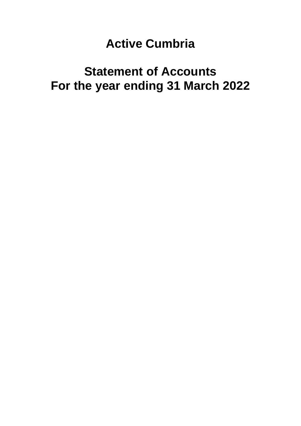# **Active Cumbria**

# **Statement of Accounts For the year ending 31 March 2022**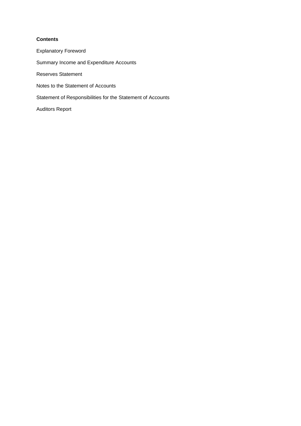# **Contents**

Explanatory Foreword Summary Income and Expenditure Accounts Reserves Statement Notes to the Statement of Accounts Statement of Responsibilities for the Statement of Accounts Auditors Report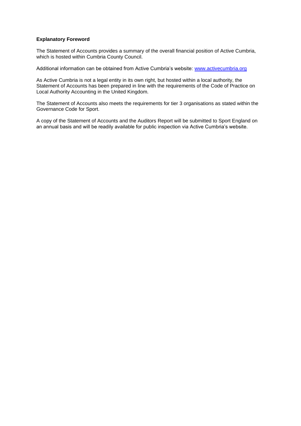# **Explanatory Foreword**

The Statement of Accounts provides a summary of the overall financial position of Active Cumbria, which is hosted within Cumbria County Council.

Additional information can be obtained from Active Cumbria's website: [www.activecumbria.org](http://www.activecumbria.org/)

As Active Cumbria is not a legal entity in its own right, but hosted within a local authority, the Statement of Accounts has been prepared in line with the requirements of the Code of Practice on Local Authority Accounting in the United Kingdom.

The Statement of Accounts also meets the requirements for tier 3 organisations as stated within the Governance Code for Sport.

A copy of the Statement of Accounts and the Auditors Report will be submitted to Sport England on an annual basis and will be readily available for public inspection via Active Cumbria's website.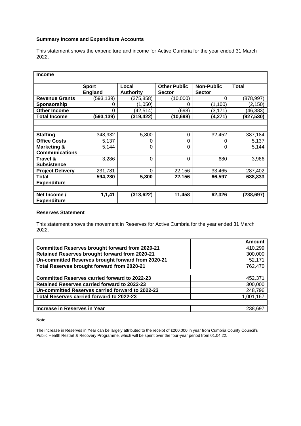# **Summary Income and Expenditure Accounts**

This statement shows the expenditure and income for Active Cumbria for the year ended 31 March 2022.

| <b>Income</b>                      |                                |                           |                                      |                                    |              |  |
|------------------------------------|--------------------------------|---------------------------|--------------------------------------|------------------------------------|--------------|--|
|                                    | <b>Sport</b><br><b>England</b> | Local<br><b>Authority</b> | <b>Other Public</b><br><b>Sector</b> | <b>Non-Public</b><br><b>Sector</b> | <b>Total</b> |  |
| <b>Revenue Grants</b>              | (593,139)                      | (275, 858)                | (10,000)                             | $\Omega$                           | (878,997)    |  |
| Sponsorship                        | 0                              | (1,050)                   | 0                                    | (1,100)                            | (2, 150)     |  |
| <b>Other Income</b>                | 0                              | (42, 514)                 | (698)                                | (3, 171)                           | (46, 383)    |  |
| <b>Total Income</b>                | (593, 139)                     | (319,422)                 | (10,698)                             | (4,271)                            | (927, 530)   |  |
|                                    |                                |                           |                                      |                                    |              |  |
|                                    |                                |                           |                                      |                                    |              |  |
| <b>Staffing</b>                    | 348,932                        | 5,800                     | 0                                    | 32,452                             | 387,184      |  |
| <b>Office Costs</b>                | 5,137                          | 0                         | 0                                    | 0                                  | 5,137        |  |
| Marketing &                        | 5,144                          | 0                         | 0                                    | $\Omega$                           | 5,144        |  |
| <b>Communications</b>              |                                |                           |                                      |                                    |              |  |
| Travel &                           | 3,286                          | $\Omega$                  | 0                                    | 680                                | 3,966        |  |
| <b>Subsistence</b>                 |                                |                           |                                      |                                    |              |  |
| <b>Project Delivery</b>            | 231,781                        | 0                         | 22,156                               | 33,465                             | 287,402      |  |
| Total                              | 594,280                        | 5,800                     | 22,156                               | 66,597                             | 688,833      |  |
| <b>Expenditure</b>                 |                                |                           |                                      |                                    |              |  |
|                                    |                                |                           |                                      |                                    |              |  |
| Net Income /<br><b>Expenditure</b> | 1,1,41                         | (313, 622)                | 11,458                               | 62,326                             | (238, 697)   |  |

### **Reserves Statement**

This statement shows the movement in Reserves for Active Cumbria for the year ended 31 March 2022.

|                                                        | Amount    |
|--------------------------------------------------------|-----------|
| <b>Committed Reserves brought forward from 2020-21</b> | 410,299   |
| Retained Reserves brought forward from 2020-21         | 300,000   |
| Un-committed Reserves brought forward from 2020-21     | 52,171    |
| Total Reserves brought forward from 2020-21            | 762,470   |
|                                                        |           |
| <b>Committed Reserves carried forward to 2022-23</b>   | 452,371   |
| <b>Retained Reserves carried forward to 2022-23</b>    | 300,000   |
| Un-committed Reserves carried forward to 2022-23       | 248,796   |
| Total Reserves carried forward to 2022-23              | 1,001,167 |
|                                                        |           |
| Increase in Reserves in Year                           | 238.697   |

#### **Note**

The increase in Reserves in Year can be largely attributed to the receipt of £200,000 in year from Cumbria County Council's Public Health Restart & Recovery Programme, which will be spent over the four-year period from 01.04.22.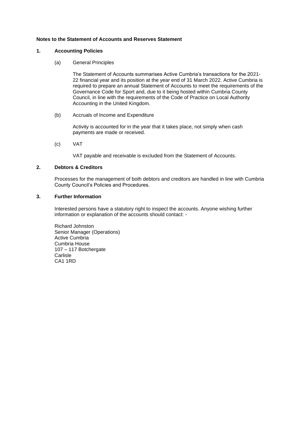#### **Notes to the Statement of Accounts and Reserves Statement**

#### **1. Accounting Policies**

(a) General Principles

The Statement of Accounts summarises Active Cumbria's transactions for the 2021- 22 financial year and its position at the year end of 31 March 2022. Active Cumbria is required to prepare an annual Statement of Accounts to meet the requirements of the Governance Code for Sport and, due to it being hosted within Cumbria County Council, in line with the requirements of the Code of Practice on Local Authority Accounting in the United Kingdom.

(b) Accruals of Income and Expenditure

Activity is accounted for in the year that it takes place, not simply when cash payments are made or received.

(c) VAT

VAT payable and receivable is excluded from the Statement of Accounts.

#### **2. Debtors & Creditors**

Processes for the management of both debtors and creditors are handled in line with Cumbria County Council's Policies and Procedures.

# **3. Further Information**

Interested persons have a statutory right to inspect the accounts. Anyone wishing further information or explanation of the accounts should contact: -

Richard Johnston Senior Manager (Operations) Active Cumbria Cumbria House 107 – 117 Botchergate **Carlisle** CA1 1RD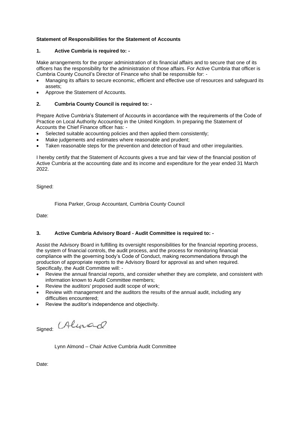# **Statement of Responsibilities for the Statement of Accounts**

# **1. Active Cumbria is required to: -**

Make arrangements for the proper administration of its financial affairs and to secure that one of its officers has the responsibility for the administration of those affairs. For Active Cumbria that officer is Cumbria County Council's Director of Finance who shall be responsible for: -

- Managing its affairs to secure economic, efficient and effective use of resources and safeguard its assets;
- Approve the Statement of Accounts.

# **2. Cumbria County Council is required to: -**

Prepare Active Cumbria's Statement of Accounts in accordance with the requirements of the Code of Practice on Local Authority Accounting in the United Kingdom. In preparing the Statement of Accounts the Chief Finance officer has: -

- Selected suitable accounting policies and then applied them consistently;
- Make judgements and estimates where reasonable and prudent;
- Taken reasonable steps for the prevention and detection of fraud and other irregularities.

I hereby certify that the Statement of Accounts gives a true and fair view of the financial position of Active Cumbria at the accounting date and its income and expenditure for the year ended 31 March 2022.

Signed:

Fiona Parker, Group Accountant, Cumbria County Council

Date:

# **3. Active Cumbria Advisory Board - Audit Committee is required to: -**

Assist the Advisory Board in fulfilling its oversight responsibilities for the financial reporting process, the system of financial controls, the audit process, and the process for monitoring financial compliance with the governing body's Code of Conduct, making recommendations through the production of appropriate reports to the Advisory Board for approval as and when required. Specifically, the Audit Committee will: -

- Review the annual financial reports, and consider whether they are complete, and consistent with information known to Audit Committee members;
- Review the auditors' proposed audit scope of work;
- Review with management and the auditors the results of the annual audit, including any difficulties encountered;
- Review the auditor's independence and objectivity.

Signed: Alunad

Lynn Almond – Chair Active Cumbria Audit Committee

Date: